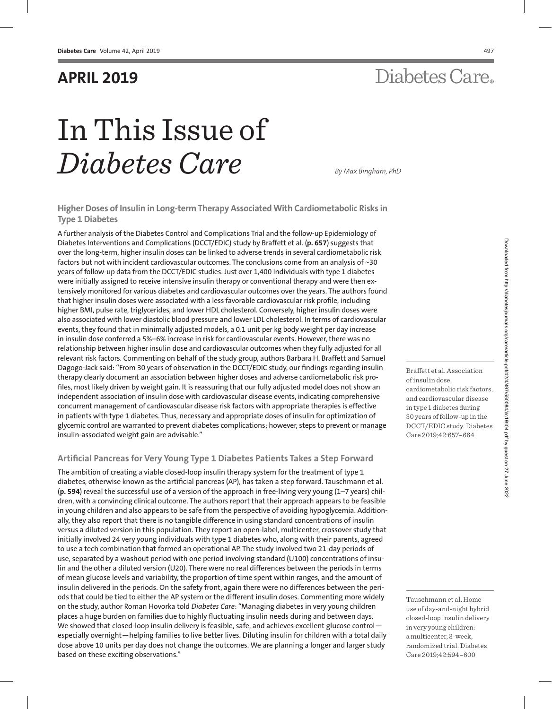### **APRIL 2019**

# Diabetes Care.

# In This Issue of *Diabetes Care By Max Bingham, PhD*

**Higher Doses of Insulin in Long-term Therapy Associated With Cardiometabolic Risks in Type 1 Diabetes**

A further analysis of the Diabetes Control and Complications Trial and the follow-up Epidemiology of Diabetes Interventions and Complications (DCCT/EDIC) study by Braffett et al. (**[p. 657](http://care.diabetesjournals.org/content/42/4/657)**) suggests that over the long-term, higher insulin doses can be linked to adverse trends in several cardiometabolic risk factors but not with incident cardiovascular outcomes. The conclusions come from an analysis of ~30 years of follow-up data from the DCCT/EDIC studies. Just over 1,400 individuals with type 1 diabetes were initially assigned to receive intensive insulin therapy or conventional therapy and were then extensively monitored for various diabetes and cardiovascular outcomes over the years. The authors found that higher insulin doses were associated with a less favorable cardiovascular risk profile, including higher BMI, pulse rate, triglycerides, and lower HDL cholesterol. Conversely, higher insulin doses were also associated with lower diastolic blood pressure and lower LDL cholesterol. In terms of cardiovascular events, they found that in minimally adjusted models, a 0.1 unit per kg body weight per day increase in insulin dose conferred a 5%–6% increase in risk for cardiovascular events. However, there was no relationship between higher insulin dose and cardiovascular outcomes when they fully adjusted for all relevant risk factors. Commenting on behalf of the study group, authors Barbara H. Braffett and Samuel Dagogo-Jack said: "From 30 years of observation in the DCCT/EDIC study, our findings regarding insulin therapy clearly document an association between higher doses and adverse cardiometabolic risk profiles, most likely driven by weight gain. It is reassuring that our fully adjusted [model d](http://care.diabetesjournals.org/content/42/4/657)oes not show an independent association of insulin dose with cardiovascular disease events, indicating comprehensive concurrent management of cardiovascular disease risk factors with appropriate therapies is effective in patients with type 1 diabetes. Thus, necessary and appropriate doses of insulin for optimization of glycemic control are warranted to prevent diabetes complications; however, steps to prevent or manage insulin-associated weight gain are advisable."

### **Artifi cial Pancreas for Very Young Type 1 Diabetes Patients Takes a Step Forward**

The ambition of creating a viable closed-loop insulin therapy system for the treatment of type 1 diabetes, otherwise known as the artificial pancreas (AP), has taken a step forward. Tauschmann et al. (**[p. 594](http://care.diabetesjournals.org/content/42/4/594)**) reveal the successful use of a version of the approach in free-living very young (1–7 years) children, with a convincing clinical outcome. The authors report that their approach appears to be feasible in young children and also appears to be safe from the perspective of avoiding hypoglycemia. Additionally, they also report that there is no tangible difference in using standard concentrations of insulin versus a diluted version in this population. They report an open-label, multicenter, crossover study that initially involved 24 very young individuals with type 1 diabetes who, along with their parents, agreed to use a tech combination that formed an operational AP. The study involved two 21-day periods of use, separated by a washout period with one period involving standard (U100) concentrations of insulin and the other a diluted version (U20). There were no real differences between the periods in terms of mean glucose levels and variability, the proportion of time spent within ranges, and the amount of insulin delivered in the periods. On the safety front, again there were no differences between the periods that could be tied to either the AP system or the different insulin doses. Commenting more widely on the study, author Roman Hovorka told *Diabetes Care*: "Managing diabetes in very young children places a huge burden on families due to highly fluctuating insulin needs during and between days. We showed that closed-loop insulin delivery is feasible, safe, and achieves excellent glucose controlespecially overnight—helping families to live better lives. Diluting insulin for children with a total daily dose above 10 units per day does not change the outcomes. We are planning a longer and larger study based on these exciting observations."

Tauschmann et al. Home use of day-and-night hybrid

Braffett et al. Association

[cardiometabolic risk factors,](http://care.diabetesjournals.org/content/42/4/657)  and cardiovascular disease in type 1 diabetes during 30 years of follow-up in the DCCT/EDIC study. Diabetes Care 2019;42:657–664

of insulin dose,

[closed-loop insulin delivery](http://care.diabetesjournals.org/content/42/4/594)  in very young children: a multicenter, 3-week, randomized trial. Diabetes Care 2019;42:594–600